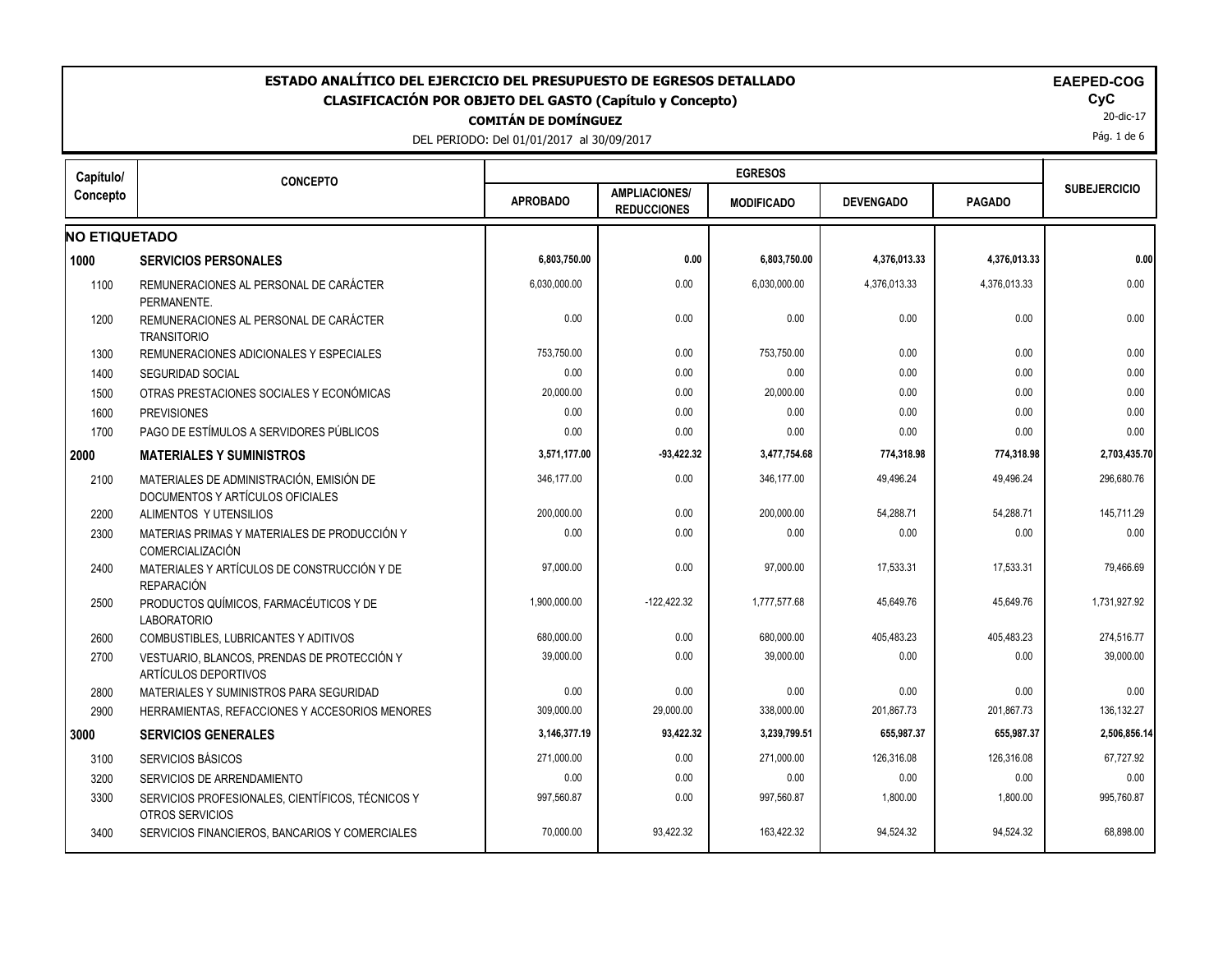| ESTADO ANALÍTICO DEL EJERCICIO DEL PRESUPUESTO DE EGRESOS DETALLADO<br><b>EAEPED-COG</b><br><b>CLASIFICACIÓN POR OBJETO DEL GASTO (Capítulo y Concepto)</b><br><b>COMITÁN DE DOMÍNGUEZ</b><br>DEL PERIODO: Del 01/01/2017 al 30/09/2017 |                                                                              |                 |                                            |                   |                  |               |                     |  |  |
|-----------------------------------------------------------------------------------------------------------------------------------------------------------------------------------------------------------------------------------------|------------------------------------------------------------------------------|-----------------|--------------------------------------------|-------------------|------------------|---------------|---------------------|--|--|
| Capítulo/                                                                                                                                                                                                                               | <b>CONCEPTO</b>                                                              |                 |                                            | <b>EGRESOS</b>    |                  |               |                     |  |  |
| Concepto                                                                                                                                                                                                                                |                                                                              | <b>APROBADO</b> | <b>AMPLIACIONES/</b><br><b>REDUCCIONES</b> | <b>MODIFICADO</b> | <b>DEVENGADO</b> | <b>PAGADO</b> | <b>SUBEJERCICIO</b> |  |  |
| <b>NO ETIQUETADO</b>                                                                                                                                                                                                                    |                                                                              |                 |                                            |                   |                  |               |                     |  |  |
| 1000                                                                                                                                                                                                                                    | <b>SERVICIOS PERSONALES</b>                                                  | 6,803,750.00    | 0.00                                       | 6,803,750.00      | 4,376,013.33     | 4,376,013.33  | 0.00                |  |  |
| 1100                                                                                                                                                                                                                                    | REMUNERACIONES AL PERSONAL DE CARÁCTER<br>PERMANENTE.                        | 6,030,000.00    | 0.00                                       | 6,030,000.00      | 4,376,013.33     | 4,376,013.33  | 0.00                |  |  |
| 1200                                                                                                                                                                                                                                    | REMUNERACIONES AL PERSONAL DE CARÁCTER<br><b>TRANSITORIO</b>                 | 0.00            | 0.00                                       | 0.00              | 0.00             | 0.00          | 0.00                |  |  |
| 1300                                                                                                                                                                                                                                    | REMUNERACIONES ADICIONALES Y ESPECIALES                                      | 753,750.00      | 0.00                                       | 753,750.00        | 0.00             | 0.00          | 0.00                |  |  |
| 1400                                                                                                                                                                                                                                    | <b>SEGURIDAD SOCIAL</b>                                                      | 0.00            | 0.00                                       | 0.00              | 0.00             | 0.00          | 0.00                |  |  |
| 1500                                                                                                                                                                                                                                    | OTRAS PRESTACIONES SOCIALES Y ECONÓMICAS                                     | 20,000.00       | 0.00                                       | 20,000.00         | 0.00             | 0.00          | 0.00                |  |  |
| 1600                                                                                                                                                                                                                                    | <b>PREVISIONES</b>                                                           | 0.00            | 0.00                                       | 0.00              | 0.00             | 0.00          | 0.00                |  |  |
| 1700                                                                                                                                                                                                                                    | PAGO DE ESTÍMULOS A SERVIDORES PÚBLICOS                                      | 0.00            | 0.00                                       | 0.00              | 0.00             | 0.00          | 0.00                |  |  |
| 2000                                                                                                                                                                                                                                    | <b>MATERIALES Y SUMINISTROS</b>                                              | 3,571,177.00    | $-93,422.32$                               | 3,477,754.68      | 774,318.98       | 774,318.98    | 2,703,435.70        |  |  |
| 2100                                                                                                                                                                                                                                    | MATERIALES DE ADMINISTRACIÓN, EMISIÓN DE<br>DOCUMENTOS Y ARTÍCULOS OFICIALES | 346.177.00      | 0.00                                       | 346.177.00        | 49.496.24        | 49,496.24     | 296.680.76          |  |  |
| 2200                                                                                                                                                                                                                                    | ALIMENTOS Y UTENSILIOS                                                       | 200,000.00      | 0.00                                       | 200,000.00        | 54,288.71        | 54,288.71     | 145,711.29          |  |  |
| 2300                                                                                                                                                                                                                                    | MATERIAS PRIMAS Y MATERIALES DE PRODUCCIÓN Y<br>COMERCIALIZACIÓN             | 0.00            | 0.00                                       | 0.00              | 0.00             | 0.00          | 0.00                |  |  |
| 2400                                                                                                                                                                                                                                    | MATERIALES Y ARTÍCULOS DE CONSTRUCCIÓN Y DE<br><b>REPARACIÓN</b>             | 97,000.00       | 0.00                                       | 97,000.00         | 17,533.31        | 17,533.31     | 79,466.69           |  |  |
| 2500                                                                                                                                                                                                                                    | PRODUCTOS QUÍMICOS. FARMACÉUTICOS Y DE<br><b>LABORATORIO</b>                 | 1,900,000.00    | $-122,422.32$                              | 1,777,577.68      | 45,649.76        | 45,649.76     | 1,731,927.92        |  |  |
| 2600                                                                                                                                                                                                                                    | <b>COMBUSTIBLES, LUBRICANTES Y ADITIVOS</b>                                  | 680,000.00      | 0.00                                       | 680,000.00        | 405,483.23       | 405,483.23    | 274,516.77          |  |  |
| 2700                                                                                                                                                                                                                                    | VESTUARIO, BLANCOS, PRENDAS DE PROTECCIÓN Y<br>ARTÍCULOS DEPORTIVOS          | 39,000.00       | 0.00                                       | 39,000.00         | 0.00             | 0.00          | 39,000.00           |  |  |
| 2800                                                                                                                                                                                                                                    | MATERIALES Y SUMINISTROS PARA SEGURIDAD                                      | 0.00            | 0.00                                       | 0.00              | 0.00             | 0.00          | 0.00                |  |  |
| 2900                                                                                                                                                                                                                                    | HERRAMIENTAS, REFACCIONES Y ACCESORIOS MENORES                               | 309,000.00      | 29,000.00                                  | 338,000.00        | 201,867.73       | 201,867.73    | 136, 132. 27        |  |  |
|                                                                                                                                                                                                                                         | <b>SERVICIOS GENERALES</b>                                                   | 3,146,377.19    | 93,422.32                                  | 3,239,799.51      | 655,987.37       | 655,987.37    | 2,506,856.14        |  |  |
| 3100                                                                                                                                                                                                                                    | <b>SERVICIOS BÁSICOS</b>                                                     | 271,000.00      | 0.00                                       | 271,000.00        | 126,316.08       | 126,316.08    | 67,727.92           |  |  |
| 3200                                                                                                                                                                                                                                    | SERVICIOS DE ARRENDAMIENTO                                                   | 0.00            | 0.00                                       | 0.00              | 0.00             | 0.00          | 0.00                |  |  |
| 3300                                                                                                                                                                                                                                    | SERVICIOS PROFESIONALES, CIENTÍFICOS, TÉCNICOS Y<br>OTROS SERVICIOS          | 997,560.87      | 0.00                                       | 997,560.87        | 1,800.00         | 1,800.00      | 995,760.87          |  |  |
| 3400                                                                                                                                                                                                                                    | SERVICIOS FINANCIEROS, BANCARIOS Y COMERCIALES                               | 70,000.00       | 93,422.32                                  | 163,422.32        | 94,524.32        | 94,524.32     | 68,898.00           |  |  |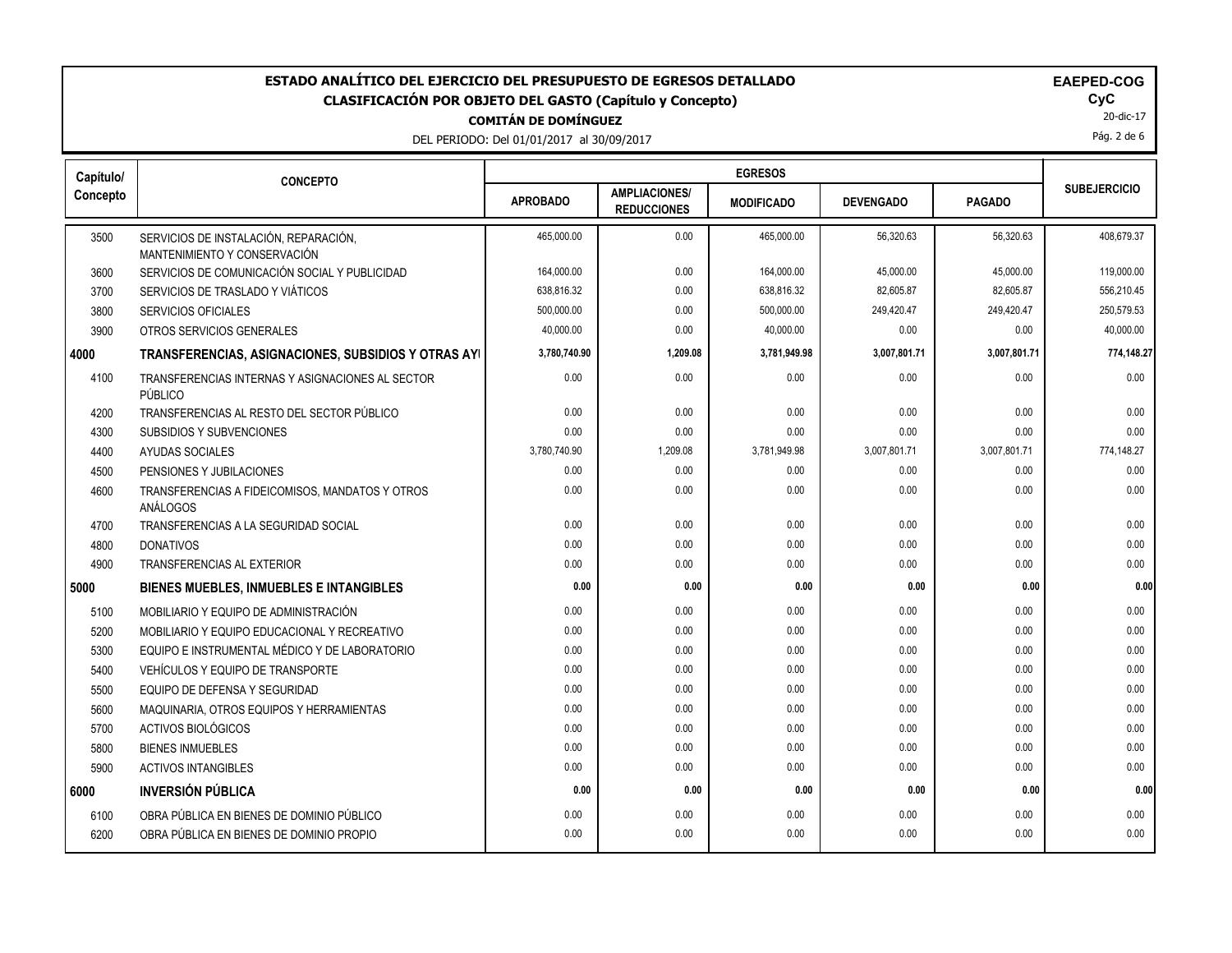DEL PERIODO: Del 01/01/2017 al 30/09/2017

|  |  | EAEI |
|--|--|------|
|  |  |      |
|  |  |      |

20-dic-17 Pág. 2 de 6

| Capítulo/ | <b>CONCEPTO</b>                                                       |                 |                                            |                   |                  |               |                     |
|-----------|-----------------------------------------------------------------------|-----------------|--------------------------------------------|-------------------|------------------|---------------|---------------------|
| Concepto  |                                                                       | <b>APROBADO</b> | <b>AMPLIACIONES/</b><br><b>REDUCCIONES</b> | <b>MODIFICADO</b> | <b>DEVENGADO</b> | <b>PAGADO</b> | <b>SUBEJERCICIO</b> |
| 3500      | SERVICIOS DE INSTALACIÓN, REPARACIÓN,<br>MANTENIMIENTO Y CONSERVACIÓN | 465.000.00      | 0.00                                       | 465,000.00        | 56.320.63        | 56.320.63     | 408.679.37          |
| 3600      | SERVICIOS DE COMUNICACIÓN SOCIAL Y PUBLICIDAD                         | 164,000.00      | 0.00                                       | 164,000.00        | 45,000.00        | 45,000.00     | 119,000.00          |
| 3700      | SERVICIOS DE TRASLADO Y VIÁTICOS                                      | 638,816.32      | 0.00                                       | 638,816.32        | 82,605.87        | 82,605.87     | 556,210.45          |
| 3800      | <b>SERVICIOS OFICIALES</b>                                            | 500,000.00      | 0.00                                       | 500,000.00        | 249,420.47       | 249,420.47    | 250,579.53          |
| 3900      | OTROS SERVICIOS GENERALES                                             | 40,000.00       | 0.00                                       | 40,000.00         | 0.00             | 0.00          | 40,000.00           |
| 4000      | TRANSFERENCIAS, ASIGNACIONES, SUBSIDIOS Y OTRAS AYI                   | 3,780,740.90    | 1,209.08                                   | 3,781,949.98      | 3,007,801.71     | 3,007,801.71  | 774,148.27          |
| 4100      | TRANSFERENCIAS INTERNAS Y ASIGNACIONES AL SECTOR<br>PÚBLICO           | 0.00            | 0.00                                       | 0.00              | 0.00             | 0.00          | 0.00                |
| 4200      | TRANSFERENCIAS AL RESTO DEL SECTOR PÚBLICO                            | 0.00            | 0.00                                       | 0.00              | 0.00             | 0.00          | 0.00                |
| 4300      | <b>SUBSIDIOS Y SUBVENCIONES</b>                                       | 0.00            | 0.00                                       | 0.00              | 0.00             | 0.00          | 0.00                |
| 4400      | AYUDAS SOCIALES                                                       | 3,780,740.90    | 1,209.08                                   | 3,781,949.98      | 3,007,801.71     | 3,007,801.71  | 774,148.27          |
| 4500      | PENSIONES Y JUBILACIONES                                              | 0.00            | 0.00                                       | 0.00              | 0.00             | 0.00          | 0.00                |
| 4600      | TRANSFERENCIAS A FIDEICOMISOS, MANDATOS Y OTROS<br>ANÁLOGOS           | 0.00            | 0.00                                       | 0.00              | 0.00             | 0.00          | 0.00                |
| 4700      | TRANSFERENCIAS A LA SEGURIDAD SOCIAL                                  | 0.00            | 0.00                                       | 0.00              | 0.00             | 0.00          | 0.00                |
| 4800      | <b>DONATIVOS</b>                                                      | 0.00            | 0.00                                       | 0.00              | 0.00             | 0.00          | 0.00                |
| 4900      | <b>TRANSFERENCIAS AL EXTERIOR</b>                                     | 0.00            | 0.00                                       | 0.00              | 0.00             | 0.00          | 0.00                |
| 5000      | BIENES MUEBLES, INMUEBLES E INTANGIBLES                               | 0.00            | 0.00                                       | 0.00              | 0.00             | 0.00          | 0.00                |
| 5100      | MOBILIARIO Y EQUIPO DE ADMINISTRACIÓN                                 | 0.00            | 0.00                                       | 0.00              | 0.00             | 0.00          | 0.00                |
| 5200      | MOBILIARIO Y EQUIPO EDUCACIONAL Y RECREATIVO                          | 0.00            | 0.00                                       | 0.00              | 0.00             | 0.00          | 0.00                |
| 5300      | EQUIPO E INSTRUMENTAL MÉDICO Y DE LABORATORIO                         | 0.00            | 0.00                                       | 0.00              | 0.00             | 0.00          | 0.00                |
| 5400      | VEHÍCULOS Y EQUIPO DE TRANSPORTE                                      | 0.00            | 0.00                                       | 0.00              | 0.00             | 0.00          | 0.00                |
| 5500      | EQUIPO DE DEFENSA Y SEGURIDAD                                         | 0.00            | 0.00                                       | 0.00              | 0.00             | 0.00          | 0.00                |
| 5600      | MAQUINARIA, OTROS EQUIPOS Y HERRAMIENTAS                              | 0.00            | 0.00                                       | 0.00              | 0.00             | 0.00          | 0.00                |
| 5700      | <b>ACTIVOS BIOLÓGICOS</b>                                             | 0.00            | 0.00                                       | 0.00              | 0.00             | 0.00          | 0.00                |
| 5800      | <b>BIENES INMUEBLES</b>                                               | 0.00            | 0.00                                       | 0.00              | 0.00             | 0.00          | 0.00                |
| 5900      | <b>ACTIVOS INTANGIBLES</b>                                            | 0.00            | 0.00                                       | 0.00              | 0.00             | 0.00          | 0.00                |
| 6000      | <b>INVERSIÓN PÚBLICA</b>                                              | 0.00            | 0.00                                       | 0.00              | 0.00             | 0.00          | 0.00                |
| 6100      | OBRA PÚBLICA EN BIENES DE DOMINIO PÚBLICO                             | 0.00            | 0.00                                       | 0.00              | 0.00             | 0.00          | 0.00                |
| 6200      | OBRA PÚBLICA EN BIENES DE DOMINIO PROPIO                              | 0.00            | 0.00                                       | 0.00              | 0.00             | 0.00          | 0.00                |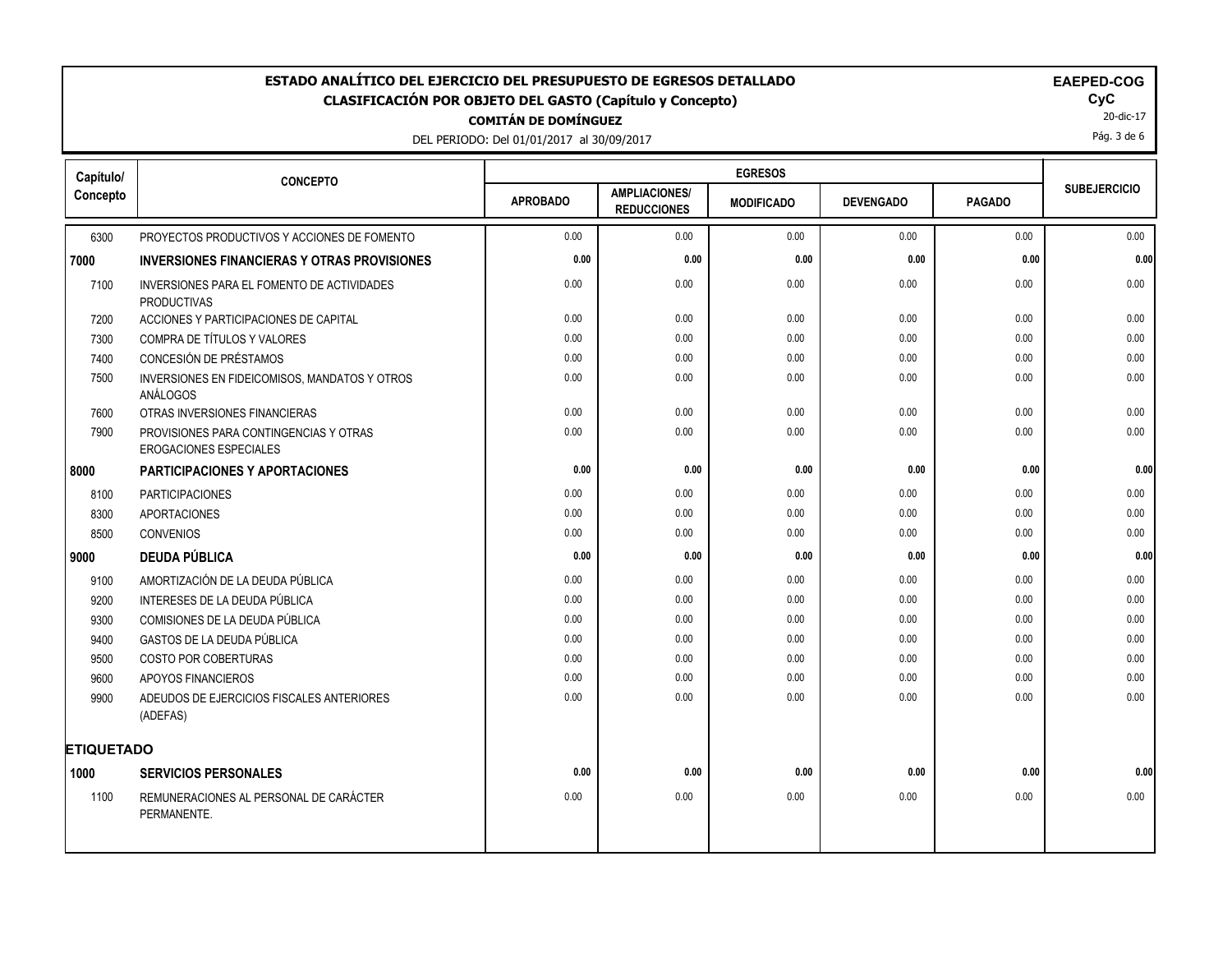DEL PERIODO: Del 01/01/2017 al 30/09/2017

20-dic-17

Pág. 3 de 6

| Capítulo/         | <b>CONCEPTO</b>                                                         |                 |                                            |                   |                  |               |                     |
|-------------------|-------------------------------------------------------------------------|-----------------|--------------------------------------------|-------------------|------------------|---------------|---------------------|
| Concepto          |                                                                         | <b>APROBADO</b> | <b>AMPLIACIONES/</b><br><b>REDUCCIONES</b> | <b>MODIFICADO</b> | <b>DEVENGADO</b> | <b>PAGADO</b> | <b>SUBEJERCICIO</b> |
| 6300              | PROYECTOS PRODUCTIVOS Y ACCIONES DE FOMENTO                             | 0.00            | 0.00                                       | 0.00              | 0.00             | 0.00          | 0.00                |
| 7000              | <b>INVERSIONES FINANCIERAS Y OTRAS PROVISIONES</b>                      | 0.00            | 0.00                                       | 0.00              | 0.00             | 0.00          | 0.00                |
| 7100              | INVERSIONES PARA EL FOMENTO DE ACTIVIDADES<br><b>PRODUCTIVAS</b>        | 0.00            | 0.00                                       | 0.00              | 0.00             | 0.00          | 0.00                |
| 7200              | ACCIONES Y PARTICIPACIONES DE CAPITAL                                   | 0.00            | 0.00                                       | 0.00              | 0.00             | 0.00          | 0.00                |
| 7300              | COMPRA DE TÍTULOS Y VALORES                                             | 0.00            | 0.00                                       | 0.00              | 0.00             | 0.00          | 0.00                |
| 7400              | CONCESIÓN DE PRÉSTAMOS                                                  | 0.00            | 0.00                                       | 0.00              | 0.00             | 0.00          | 0.00                |
| 7500              | INVERSIONES EN FIDEICOMISOS, MANDATOS Y OTROS<br>ANÁLOGOS               | 0.00            | 0.00                                       | 0.00              | 0.00             | 0.00          | 0.00                |
| 7600              | OTRAS INVERSIONES FINANCIERAS                                           | 0.00            | 0.00                                       | 0.00              | 0.00             | 0.00          | 0.00                |
| 7900              | PROVISIONES PARA CONTINGENCIAS Y OTRAS<br><b>EROGACIONES ESPECIALES</b> | 0.00            | 0.00                                       | 0.00              | 0.00             | 0.00          | 0.00                |
| 8000              | <b>PARTICIPACIONES Y APORTACIONES</b>                                   | 0.00            | 0.00                                       | 0.00              | 0.00             | 0.00          | 0.00                |
| 8100              | <b>PARTICIPACIONES</b>                                                  | 0.00            | 0.00                                       | 0.00              | 0.00             | 0.00          | 0.00                |
| 8300              | <b>APORTACIONES</b>                                                     | 0.00            | 0.00                                       | 0.00              | 0.00             | 0.00          | 0.00                |
| 8500              | <b>CONVENIOS</b>                                                        | 0.00            | 0.00                                       | 0.00              | 0.00             | 0.00          | 0.00                |
| 9000              | <b>DEUDA PÚBLICA</b>                                                    | 0.00            | 0.00                                       | 0.00              | 0.00             | 0.00          | 0.00                |
| 9100              | AMORTIZACIÓN DE LA DEUDA PÚBLICA                                        | 0.00            | 0.00                                       | 0.00              | 0.00             | 0.00          | 0.00                |
| 9200              | INTERESES DE LA DEUDA PÚBLICA                                           | 0.00            | 0.00                                       | 0.00              | 0.00             | 0.00          | 0.00                |
| 9300              | COMISIONES DE LA DEUDA PÚBLICA                                          | 0.00            | 0.00                                       | 0.00              | 0.00             | 0.00          | 0.00                |
| 9400              | GASTOS DE LA DEUDA PÚBLICA                                              | 0.00            | 0.00                                       | 0.00              | 0.00             | 0.00          | 0.00                |
| 9500              | <b>COSTO POR COBERTURAS</b>                                             | 0.00            | 0.00                                       | 0.00              | 0.00             | 0.00          | 0.00                |
| 9600              | APOYOS FINANCIEROS                                                      | 0.00            | 0.00                                       | 0.00              | 0.00             | 0.00          | 0.00                |
| 9900              | ADEUDOS DE EJERCICIOS FISCALES ANTERIORES<br>(ADEFAS)                   | 0.00            | 0.00                                       | 0.00              | 0.00             | 0.00          | 0.00                |
| <b>ETIQUETADO</b> |                                                                         |                 |                                            |                   |                  |               |                     |
| 1000              | <b>SERVICIOS PERSONALES</b>                                             | 0.00            | 0.00                                       | 0.00              | 0.00             | 0.00          | 0.00                |
| 1100              | REMUNERACIONES AL PERSONAL DE CARÁCTER<br>PERMANENTE.                   | 0.00            | 0.00                                       | 0.00              | 0.00             | 0.00          | 0.00                |
|                   |                                                                         |                 |                                            |                   |                  |               |                     |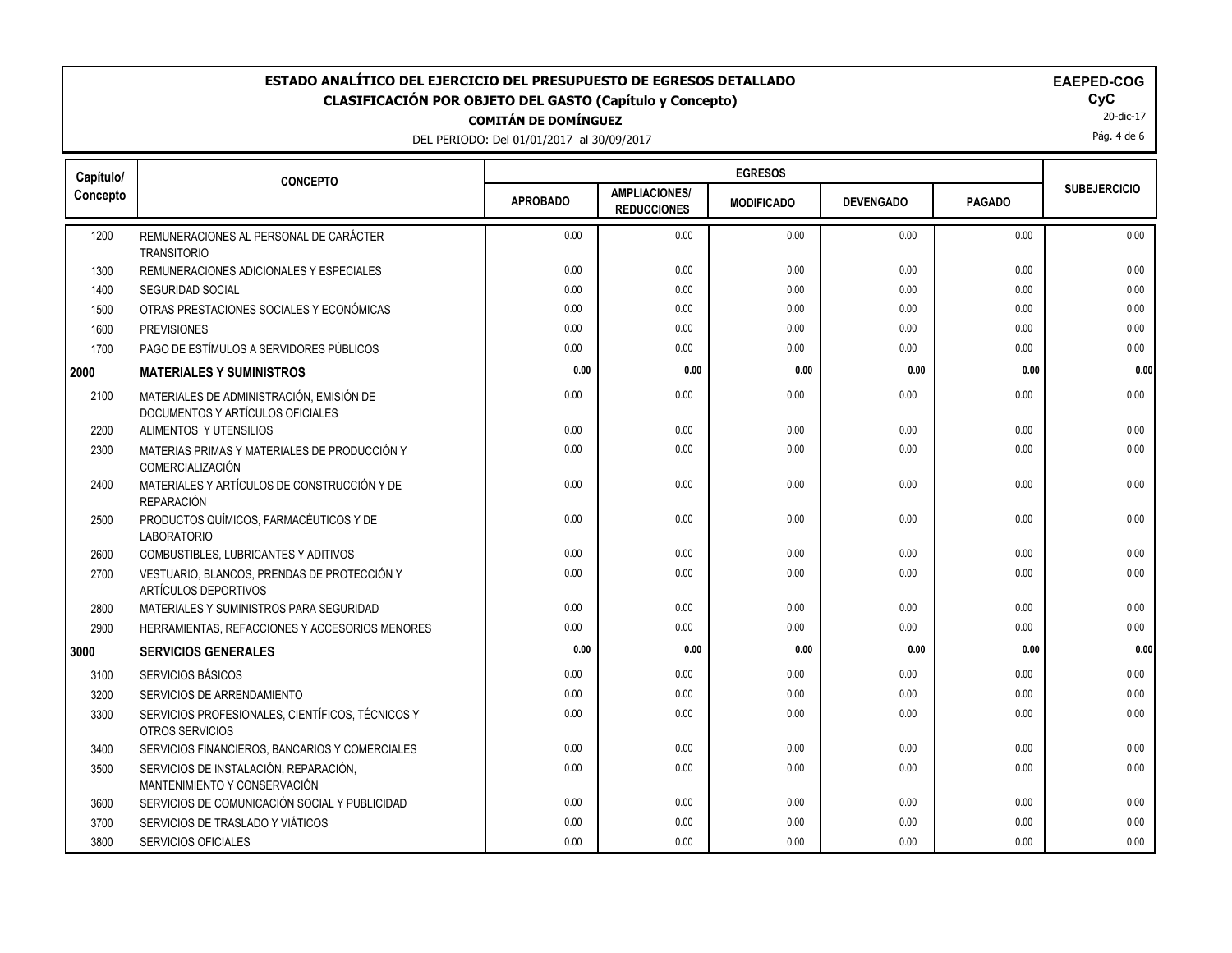DEL PERIODO

|                 | DEL PERIODO: Del 01/01/2017 al 30/09/2017 |                     |                |  |
|-----------------|-------------------------------------------|---------------------|----------------|--|
|                 |                                           |                     |                |  |
| <b>CONCEPTO</b> |                                           |                     | <b>EGRESOS</b> |  |
|                 |                                           | 1.1171111A1A11A11A1 |                |  |

| al 30/09/2017  |                |  |
|----------------|----------------|--|
|                | <b>EGRESOS</b> |  |
| .<br>--------- |                |  |

| Capítulo/ | <b>CONCEPTO</b>                                                              |                 |                                            | <b>EGRESOS</b>    |                  |               |                     |
|-----------|------------------------------------------------------------------------------|-----------------|--------------------------------------------|-------------------|------------------|---------------|---------------------|
| Concepto  |                                                                              | <b>APROBADO</b> | <b>AMPLIACIONES/</b><br><b>REDUCCIONES</b> | <b>MODIFICADO</b> | <b>DEVENGADO</b> | <b>PAGADO</b> | <b>SUBEJERCICIO</b> |
| 1200      | REMUNERACIONES AL PERSONAL DE CARÁCTER<br><b>TRANSITORIO</b>                 | 0.00            | 0.00                                       | 0.00              | 0.00             | 0.00          | 0.00                |
| 1300      | REMUNERACIONES ADICIONALES Y ESPECIALES                                      | 0.00            | 0.00                                       | 0.00              | 0.00             | 0.00          | 0.00                |
| 1400      | <b>SEGURIDAD SOCIAL</b>                                                      | 0.00            | 0.00                                       | 0.00              | 0.00             | 0.00          | 0.00                |
| 1500      | OTRAS PRESTACIONES SOCIALES Y ECONÓMICAS                                     | 0.00            | 0.00                                       | 0.00              | 0.00             | 0.00          | 0.00                |
| 1600      | <b>PREVISIONES</b>                                                           | 0.00            | 0.00                                       | 0.00              | 0.00             | 0.00          | 0.00                |
| 1700      | PAGO DE ESTÍMULOS A SERVIDORES PÚBLICOS                                      | 0.00            | 0.00                                       | 0.00              | 0.00             | 0.00          | $0.00\,$            |
| 2000      | <b>MATERIALES Y SUMINISTROS</b>                                              | 0.00            | 0.00                                       | 0.00              | 0.00             | 0.00          | 0.00                |
| 2100      | MATERIALES DE ADMINISTRACIÓN. EMISIÓN DE<br>DOCUMENTOS Y ARTÍCULOS OFICIALES | 0.00            | 0.00                                       | 0.00              | 0.00             | 0.00          | 0.00                |
| 2200      | ALIMENTOS Y UTENSILIOS                                                       | 0.00            | 0.00                                       | 0.00              | 0.00             | 0.00          | 0.00                |
| 2300      | MATERIAS PRIMAS Y MATERIALES DE PRODUCCIÓN Y<br>COMERCIALIZACIÓN             | 0.00            | 0.00                                       | 0.00              | 0.00             | 0.00          | 0.00                |
| 2400      | MATERIALES Y ARTÍCULOS DE CONSTRUCCIÓN Y DE<br>REPARACIÓN                    | 0.00            | 0.00                                       | 0.00              | 0.00             | 0.00          | 0.00                |
| 2500      | PRODUCTOS QUÍMICOS, FARMACÉUTICOS Y DE<br><b>LABORATORIO</b>                 | 0.00            | 0.00                                       | 0.00              | 0.00             | 0.00          | 0.00                |
| 2600      | COMBUSTIBLES, LUBRICANTES Y ADITIVOS                                         | 0.00            | 0.00                                       | 0.00              | 0.00             | 0.00          | 0.00                |
| 2700      | VESTUARIO, BLANCOS, PRENDAS DE PROTECCIÓN Y<br>ARTÍCULOS DEPORTIVOS          | 0.00            | 0.00                                       | 0.00              | 0.00             | 0.00          | 0.00                |
| 2800      | MATERIALES Y SUMINISTROS PARA SEGURIDAD                                      | 0.00            | 0.00                                       | 0.00              | 0.00             | 0.00          | 0.00                |
| 2900      | HERRAMIENTAS, REFACCIONES Y ACCESORIOS MENORES                               | 0.00            | 0.00                                       | 0.00              | 0.00             | 0.00          | 0.00                |
| 3000      | <b>SERVICIOS GENERALES</b>                                                   | 0.00            | 0.00                                       | 0.00              | 0.00             | 0.00          | 0.00                |
| 3100      | SERVICIOS BÁSICOS                                                            | 0.00            | 0.00                                       | 0.00              | 0.00             | 0.00          | 0.00                |
| 3200      | SERVICIOS DE ARRENDAMIENTO                                                   | 0.00            | 0.00                                       | 0.00              | 0.00             | 0.00          | 0.00                |
| 3300      | SERVICIOS PROFESIONALES, CIENTÍFICOS, TÉCNICOS Y<br>OTROS SERVICIOS          | 0.00            | 0.00                                       | 0.00              | 0.00             | 0.00          | 0.00                |
| 3400      | SERVICIOS FINANCIEROS, BANCARIOS Y COMERCIALES                               | 0.00            | 0.00                                       | 0.00              | 0.00             | 0.00          | 0.00                |
| 3500      | SERVICIOS DE INSTALACIÓN, REPARACIÓN,<br>MANTENIMIENTO Y CONSERVACIÓN        | 0.00            | 0.00                                       | 0.00              | 0.00             | 0.00          | 0.00                |
| 3600      | SERVICIOS DE COMUNICACIÓN SOCIAL Y PUBLICIDAD                                | 0.00            | 0.00                                       | 0.00              | 0.00             | 0.00          | 0.00                |
| 3700      | SERVICIOS DE TRASLADO Y VIÁTICOS                                             | 0.00            | 0.00                                       | 0.00              | 0.00             | 0.00          | 0.00                |
| 3800      | SERVICIOS OFICIALES                                                          | 0.00            | 0.00                                       | 0.00              | 0.00             | 0.00          | 0.00                |

20-dic-17 Pág. 4 de 6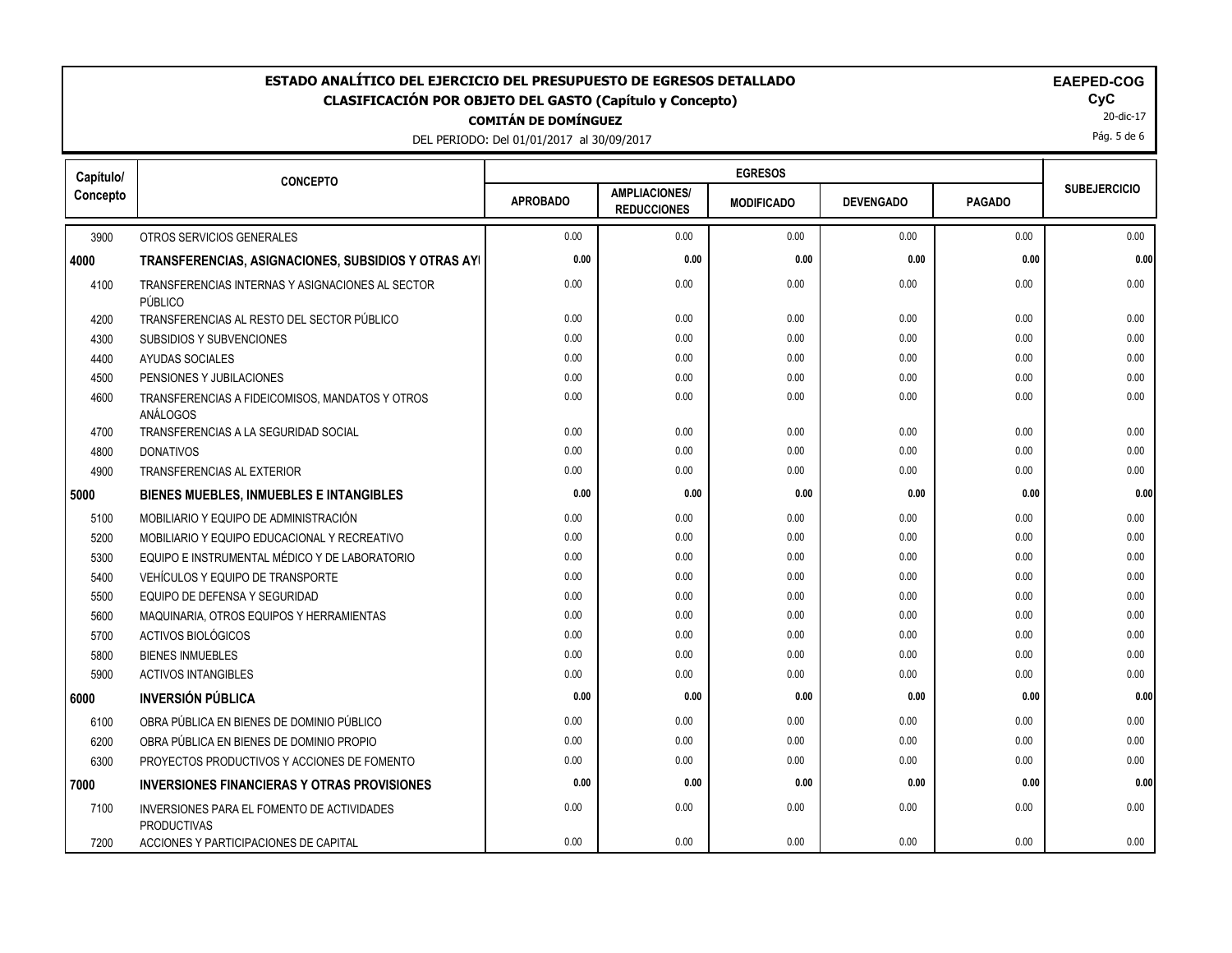DEL PERIODO: Del 01/01/2017 al 30/09/2017

| Capítulo/ | <b>CONCEPTO</b>                                                  |                 |                                            |                   |                  |               |                     |
|-----------|------------------------------------------------------------------|-----------------|--------------------------------------------|-------------------|------------------|---------------|---------------------|
| Concepto  |                                                                  | <b>APROBADO</b> | <b>AMPLIACIONES/</b><br><b>REDUCCIONES</b> | <b>MODIFICADO</b> | <b>DEVENGADO</b> | <b>PAGADO</b> | <b>SUBEJERCICIO</b> |
| 3900      | OTROS SERVICIOS GENERALES                                        | 0.00            | 0.00                                       | 0.00              | 0.00             | 0.00          | 0.00                |
| 4000      | TRANSFERENCIAS, ASIGNACIONES, SUBSIDIOS Y OTRAS AYI              | 0.00            | 0.00                                       | 0.00              | 0.00             | 0.00          | 0.00                |
| 4100      | TRANSFERENCIAS INTERNAS Y ASIGNACIONES AL SECTOR<br>PÚBLICO      | 0.00            | 0.00                                       | 0.00              | 0.00             | 0.00          | 0.00                |
| 4200      | TRANSFERENCIAS AL RESTO DEL SECTOR PÚBLICO                       | 0.00            | 0.00                                       | 0.00              | 0.00             | 0.00          | 0.00                |
| 4300      | <b>SUBSIDIOS Y SUBVENCIONES</b>                                  | 0.00            | 0.00                                       | 0.00              | 0.00             | 0.00          | 0.00                |
| 4400      | AYUDAS SOCIALES                                                  | 0.00            | 0.00                                       | 0.00              | 0.00             | 0.00          | 0.00                |
| 4500      | PENSIONES Y JUBILACIONES                                         | 0.00            | 0.00                                       | 0.00              | 0.00             | 0.00          | 0.00                |
| 4600      | TRANSFERENCIAS A FIDEICOMISOS, MANDATOS Y OTROS<br>ANÁLOGOS      | 0.00            | 0.00                                       | 0.00              | 0.00             | 0.00          | 0.00                |
| 4700      | TRANSFERENCIAS A LA SEGURIDAD SOCIAL                             | 0.00            | 0.00                                       | 0.00              | 0.00             | 0.00          | 0.00                |
| 4800      | <b>DONATIVOS</b>                                                 | 0.00            | 0.00                                       | 0.00              | 0.00             | 0.00          | 0.00                |
| 4900      | <b>TRANSFERENCIAS AL EXTERIOR</b>                                | 0.00            | 0.00                                       | 0.00              | 0.00             | 0.00          | 0.00                |
| 5000      | <b>BIENES MUEBLES, INMUEBLES E INTANGIBLES</b>                   | 0.00            | 0.00                                       | 0.00              | 0.00             | 0.00          | 0.00                |
| 5100      | MOBILIARIO Y EQUIPO DE ADMINISTRACIÓN                            | 0.00            | 0.00                                       | 0.00              | 0.00             | 0.00          | 0.00                |
| 5200      | MOBILIARIO Y EQUIPO EDUCACIONAL Y RECREATIVO                     | 0.00            | 0.00                                       | 0.00              | 0.00             | 0.00          | 0.00                |
| 5300      | EQUIPO E INSTRUMENTAL MÉDICO Y DE LABORATORIO                    | 0.00            | 0.00                                       | 0.00              | 0.00             | 0.00          | 0.00                |
| 5400      | VEHÍCULOS Y EQUIPO DE TRANSPORTE                                 | 0.00            | 0.00                                       | 0.00              | 0.00             | 0.00          | 0.00                |
| 5500      | EQUIPO DE DEFENSA Y SEGURIDAD                                    | 0.00            | 0.00                                       | 0.00              | 0.00             | 0.00          | 0.00                |
| 5600      | MAQUINARIA, OTROS EQUIPOS Y HERRAMIENTAS                         | 0.00            | 0.00                                       | 0.00              | 0.00             | 0.00          | 0.00                |
| 5700      | <b>ACTIVOS BIOLÓGICOS</b>                                        | 0.00            | 0.00                                       | 0.00              | 0.00             | 0.00          | 0.00                |
| 5800      | <b>BIENES INMUEBLES</b>                                          | 0.00            | 0.00                                       | 0.00              | 0.00             | 0.00          | 0.00                |
| 5900      | <b>ACTIVOS INTANGIBLES</b>                                       | 0.00            | 0.00                                       | 0.00              | 0.00             | 0.00          | 0.00                |
| 6000      | <b>INVERSIÓN PÚBLICA</b>                                         | 0.00            | 0.00                                       | 0.00              | 0.00             | 0.00          | 0.00                |
| 6100      | OBRA PÚBLICA EN BIENES DE DOMINIO PÚBLICO                        | 0.00            | 0.00                                       | 0.00              | 0.00             | 0.00          | 0.00                |
| 6200      | OBRA PÚBLICA EN BIENES DE DOMINIO PROPIO                         | 0.00            | 0.00                                       | 0.00              | 0.00             | 0.00          | 0.00                |
| 6300      | PROYECTOS PRODUCTIVOS Y ACCIONES DE FOMENTO                      | 0.00            | 0.00                                       | 0.00              | 0.00             | 0.00          | 0.00                |
| 7000      | <b>INVERSIONES FINANCIERAS Y OTRAS PROVISIONES</b>               | 0.00            | 0.00                                       | 0.00              | 0.00             | 0.00          | 0.00                |
| 7100      | INVERSIONES PARA EL FOMENTO DE ACTIVIDADES<br><b>PRODUCTIVAS</b> | 0.00            | 0.00                                       | 0.00              | 0.00             | 0.00          | 0.00                |
| 7200      | ACCIONES Y PARTICIPACIONES DE CAPITAL                            | 0.00            | 0.00                                       | 0.00              | 0.00             | 0.00          | 0.00                |

20-dic-17 Pág. 5 de 6